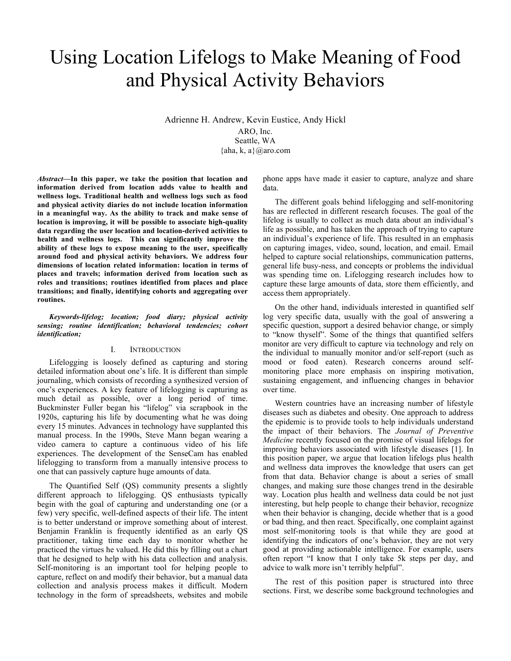# Using Location Lifelogs to Make Meaning of Food and Physical Activity Behaviors

Adrienne H. Andrew, Kevin Eustice, Andy Hickl ARO, Inc. Seattle, WA {aha, k, a}@aro.com

*Abstract***—In this paper, we take the position that location and information derived from location adds value to health and wellness logs. Traditional health and wellness logs such as food and physical activity diaries do not include location information in a meaningful way. As the ability to track and make sense of location is improving, it will be possible to associate high-quality data regarding the user location and location-derived activities to health and wellness logs. This can significantly improve the ability of these logs to expose meaning to the user, specifically around food and physical activity behaviors. We address four dimensions of location related information: location in terms of places and travels; information derived from location such as roles and transitions; routines identified from places and place transitions; and finally, identifying cohorts and aggregating over routines.**

*Keywords-lifelog; location; food diary; physical activity sensing; routine identification; behavioral tendencies; cohort identification;* 

# I. INTRODUCTION

Lifelogging is loosely defined as capturing and storing detailed information about one's life. It is different than simple journaling, which consists of recording a synthesized version of one's experiences. A key feature of lifelogging is capturing as much detail as possible, over a long period of time. Buckminster Fuller began his "lifelog" via scrapbook in the 1920s, capturing his life by documenting what he was doing every 15 minutes. Advances in technology have supplanted this manual process. In the 1990s, Steve Mann began wearing a video camera to capture a continuous video of his life experiences. The development of the SenseCam has enabled lifelogging to transform from a manually intensive process to one that can passively capture huge amounts of data.

The Quantified Self (QS) community presents a slightly different approach to lifelogging. QS enthusiasts typically begin with the goal of capturing and understanding one (or a few) very specific, well-defined aspects of their life. The intent is to better understand or improve something about of interest. Benjamin Franklin is frequently identified as an early QS practitioner, taking time each day to monitor whether he practiced the virtues he valued. He did this by filling out a chart that he designed to help with his data collection and analysis. Self-monitoring is an important tool for helping people to capture, reflect on and modify their behavior, but a manual data collection and analysis process makes it difficult. Modern technology in the form of spreadsheets, websites and mobile

phone apps have made it easier to capture, analyze and share data.

The different goals behind lifelogging and self-monitoring has are reflected in different research focuses. The goal of the lifelog is usually to collect as much data about an individual's life as possible, and has taken the approach of trying to capture an individual's experience of life. This resulted in an emphasis on capturing images, video, sound, location, and email. Email helped to capture social relationships, communication patterns, general life busy-ness, and concepts or problems the individual was spending time on. Lifelogging research includes how to capture these large amounts of data, store them efficiently, and access them appropriately.

On the other hand, individuals interested in quantified self log very specific data, usually with the goal of answering a specific question, support a desired behavior change, or simply to "know thyself". Some of the things that quantified selfers monitor are very difficult to capture via technology and rely on the individual to manually monitor and/or self-report (such as mood or food eaten). Research concerns around selfmonitoring place more emphasis on inspiring motivation, sustaining engagement, and influencing changes in behavior over time.

Western countries have an increasing number of lifestyle diseases such as diabetes and obesity. One approach to address the epidemic is to provide tools to help individuals understand the impact of their behaviors. The *Journal of Preventive Medicine* recently focused on the promise of visual lifelogs for improving behaviors associated with lifestyle diseases [1]. In this position paper, we argue that location lifelogs plus health and wellness data improves the knowledge that users can get from that data. Behavior change is about a series of small changes, and making sure those changes trend in the desirable way. Location plus health and wellness data could be not just interesting, but help people to change their behavior, recognize when their behavior is changing, decide whether that is a good or bad thing, and then react. Specifically, one complaint against most self-monitoring tools is that while they are good at identifying the indicators of one's behavior, they are not very good at providing actionable intelligence. For example, users often report "I know that I only take 5k steps per day, and advice to walk more isn't terribly helpful".

The rest of this position paper is structured into three sections. First, we describe some background technologies and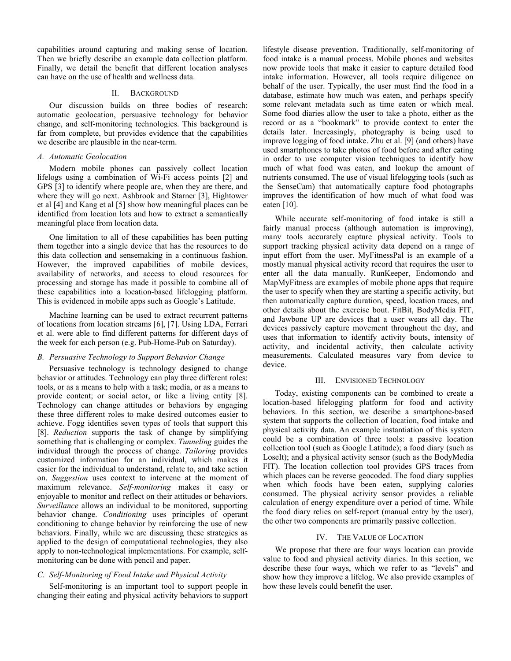capabilities around capturing and making sense of location. Then we briefly describe an example data collection platform. Finally, we detail the benefit that different location analyses can have on the use of health and wellness data.

## II. BACKGROUND

Our discussion builds on three bodies of research: automatic geolocation, persuasive technology for behavior change, and self-monitoring technologies. This background is far from complete, but provides evidence that the capabilities we describe are plausible in the near-term.

# *A. Automatic Geolocation*

Modern mobile phones can passively collect location lifelogs using a combination of Wi-Fi access points [2] and GPS [3] to identify where people are, when they are there, and where they will go next. Ashbrook and Starner [3], Hightower et al [4] and Kang et al [5] show how meaningful places can be identified from location lots and how to extract a semantically meaningful place from location data.

One limitation to all of these capabilities has been putting them together into a single device that has the resources to do this data collection and sensemaking in a continuous fashion. However, the improved capabilities of mobile devices, availability of networks, and access to cloud resources for processing and storage has made it possible to combine all of these capabilities into a location-based lifelogging platform. This is evidenced in mobile apps such as Google's Latitude.

Machine learning can be used to extract recurrent patterns of locations from location streams [6], [7]. Using LDA, Ferrari et al. were able to find different patterns for different days of the week for each person (e.g. Pub-Home-Pub on Saturday).

# *B. Persuasive Technology to Support Behavior Change*

Persuasive technology is technology designed to change behavior or attitudes. Technology can play three different roles: tools, or as a means to help with a task; media, or as a means to provide content; or social actor, or like a living entity [8]. Technology can change attitudes or behaviors by engaging these three different roles to make desired outcomes easier to achieve. Fogg identifies seven types of tools that support this [8]. *Reduction* supports the task of change by simplifying something that is challenging or complex. *Tunneling* guides the individual through the process of change. *Tailoring* provides customized information for an individual, which makes it easier for the individual to understand, relate to, and take action on. *Suggestion* uses context to intervene at the moment of maximum relevance. *Self-monitoring* makes it easy or enjoyable to monitor and reflect on their attitudes or behaviors. *Surveillance* allows an individual to be monitored, supporting behavior change. *Conditioning* uses principles of operant conditioning to change behavior by reinforcing the use of new behaviors. Finally, while we are discussing these strategies as applied to the design of computational technologies, they also apply to non-technological implementations. For example, selfmonitoring can be done with pencil and paper.

# *C. Self-Monitoring of Food Intake and Physical Activity*

Self-monitoring is an important tool to support people in changing their eating and physical activity behaviors to support lifestyle disease prevention. Traditionally, self-monitoring of food intake is a manual process. Mobile phones and websites now provide tools that make it easier to capture detailed food intake information. However, all tools require diligence on behalf of the user. Typically, the user must find the food in a database, estimate how much was eaten, and perhaps specify some relevant metadata such as time eaten or which meal. Some food diaries allow the user to take a photo, either as the record or as a "bookmark" to provide context to enter the details later. Increasingly, photography is being used to improve logging of food intake. Zhu et al. [9] (and others) have used smartphones to take photos of food before and after eating in order to use computer vision techniques to identify how much of what food was eaten, and lookup the amount of nutrients consumed. The use of visual lifelogging tools (such as the SenseCam) that automatically capture food photographs improves the identification of how much of what food was eaten [10].

While accurate self-monitoring of food intake is still a fairly manual process (although automation is improving), many tools accurately capture physical activity. Tools to support tracking physical activity data depend on a range of input effort from the user. MyFitnessPal is an example of a mostly manual physical activity record that requires the user to enter all the data manually. RunKeeper, Endomondo and MapMyFitness are examples of mobile phone apps that require the user to specify when they are starting a specific activity, but then automatically capture duration, speed, location traces, and other details about the exercise bout. FitBit, BodyMedia FIT, and Jawbone UP are devices that a user wears all day. The devices passively capture movement throughout the day, and uses that information to identify activity bouts, intensity of activity, and incidental activity, then calculate activity measurements. Calculated measures vary from device to device.

#### III. ENVISIONED TECHNOLOGY

Today, existing components can be combined to create a location-based lifelogging platform for food and activity behaviors. In this section, we describe a smartphone-based system that supports the collection of location, food intake and physical activity data. An example instantiation of this system could be a combination of three tools: a passive location collection tool (such as Google Latitude); a food diary (such as LoseIt); and a physical activity sensor (such as the BodyMedia FIT). The location collection tool provides GPS traces from which places can be reverse geocoded. The food diary supplies when which foods have been eaten, supplying calories consumed. The physical activity sensor provides a reliable calculation of energy expenditure over a period of time. While the food diary relies on self-report (manual entry by the user), the other two components are primarily passive collection.

#### IV. THE VALUE OF LOCATION

We propose that there are four ways location can provide value to food and physical activity diaries. In this section, we describe these four ways, which we refer to as "levels" and show how they improve a lifelog. We also provide examples of how these levels could benefit the user.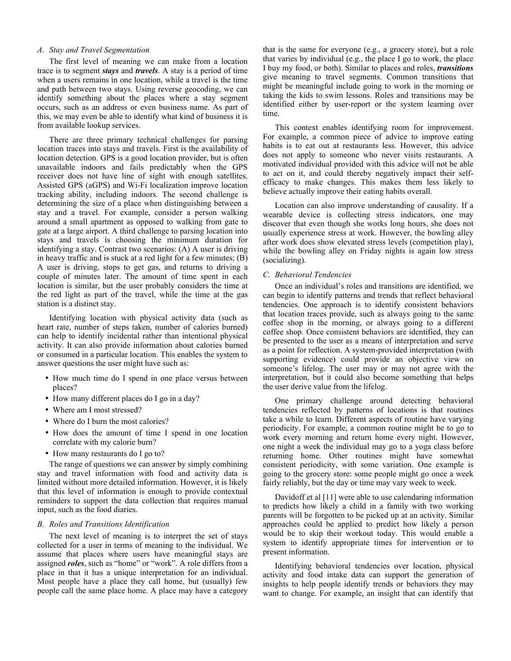# *A. Stay and Travel Segmentation*

The first level of meaning we can make from a location trace is to segment *stays* and *travels*. A stay is a period of time when a users remains in one location, while a travel is the time and path between two stays. Using reverse geocoding, we can identify something about the places where a stay segment occurs, such as an address or even business name. As part of this, we may even be able to identify what kind of business it is from available lookup services.

There are three primary technical challenges for parsing location traces into stays and travels. First is the availability of location detection. GPS is a good location provider, but is often unavailable indoors and fails predictably when the GPS receiver does not have line of sight with enough satellites. Assisted GPS (aGPS) and Wi-Fi localization improve location tracking ability, including indoors. The second challenge is determining the size of a place when distinguishing between a stay and a travel. For example, consider a person walking around a small apartment as opposed to walking from gate to gate at a large airport. A third challenge to parsing location into stays and travels is choosing the minimum duration for identifying a stay. Contrast two scenarios: (A) A user is driving in heavy traffic and is stuck at a red light for a few minutes; (B) A user is driving, stops to get gas, and returns to driving a couple of minutes later. The amount of time spent in each location is similar, but the user probably considers the time at the red light as part of the travel, while the time at the gas station is a distinct stay.

Identifying location with physical activity data (such as heart rate, number of steps taken, number of calories burned) can help to identify incidental rather than intentional physical activity. It can also provide information about calories burned or consumed in a particular location. This enables the system to answer questions the user might have such as:

- How much time do I spend in one place versus between places?
- How many different places do I go in a day?
- Where am I most stressed?
- Where do I burn the most calories?
- How does the amount of time I spend in one location correlate with my calorie burn?
- How many restaurants do I go to?

The range of questions we can answer by simply combining stay and travel information with food and activity data is limited without more detailed information. However, it is likely that this level of information is enough to provide contextual reminders to support the data collection that requires manual input, such as the food diaries.

## *B. Roles and Transitions Identification*

The next level of meaning is to interpret the set of stays collected for a user in terms of meaning to the individual. We assume that places where users have meaningful stays are assigned *roles*, such as "home" or "work". A role differs from a place in that it has a unique interpretation for an individual. Most people have a place they call home, but (usually) few people call the same place home. A place may have a category

that is the same for everyone (e.g., a grocery store), but a role that varies by individual (e.g., the place I go to work, the place I buy my food, or both). Similar to places and roles, *transitions* give meaning to travel segments. Common transitions that might be meaningful include going to work in the morning or taking the kids to swim lessons. Roles and transitions may be identified either by user-report or the system learning over time.

This context enables identifying room for improvement. For example, a common piece of advice to improve eating habits is to eat out at restaurants less. However, this advice does not apply to someone who never visits restaurants. A motivated individual provided with this advice will not be able to act on it, and could thereby negatively impact their selfefficacy to make changes. This makes them less likely to believe actually improve their eating habits overall.

Location can also improve understanding of causality. If a wearable device is collecting stress indicators, one may discover that even though she works long hours, she does not usually experience stress at work. However, the bowling alley after work does show elevated stress levels (competition play), while the bowling alley on Friday nights is again low stress (socializing).

#### *C. Behavioral Tendencies*

Once an individual's roles and transitions are identified, we can begin to identify patterns and trends that reflect behavioral tendencies. One approach is to identify consistent behaviors that location traces provide, such as always going to the same coffee shop in the morning, or always going to a different coffee shop. Once consistent behaviors are identified, they can be presented to the user as a means of interpretation and serve as a point for reflection. A system-provided interpretation (with supporting evidence) could provide an objective view on someone's lifelog. The user may or may not agree with the interpretation, but it could also become something that helps the user derive value from the lifelog.

One primary challenge around detecting behavioral tendencies reflected by patterns of locations is that routines take a while to learn. Different aspects of routine have varying periodicity. For example, a common routine might be to go to work every morning and return home every night. However, one night a week the individual may go to a yoga class before returning home. Other routines might have somewhat consistent periodicity, with some variation. One example is going to the grocery store: some people might go once a week fairly reliably, but the day or time may vary week to week.

Davidoff et al [11] were able to use calendaring information to predicts how likely a child in a family with two working parents will be forgotten to be picked up at an activity. Similar approaches could be applied to predict how likely a person would be to skip their workout today. This would enable a system to identify appropriate times for intervention or to present information.

Identifying behavioral tendencies over location, physical activity and food intake data can support the generation of insights to help people identify trends or behaviors they may want to change. For example, an insight that can identify that